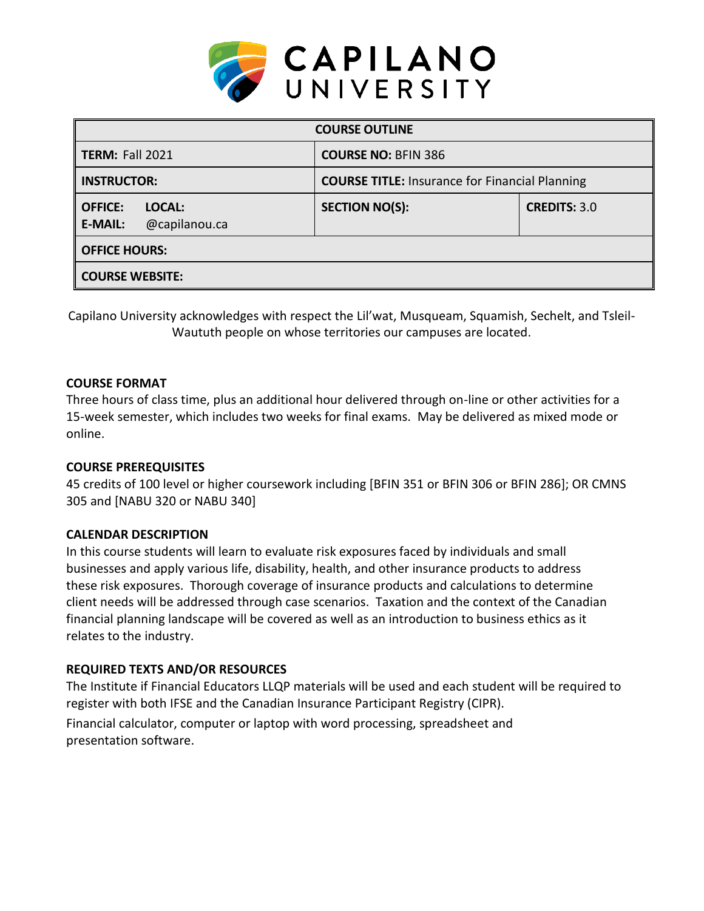

| <b>COURSE OUTLINE</b>                                       |                                                       |                     |  |  |  |
|-------------------------------------------------------------|-------------------------------------------------------|---------------------|--|--|--|
| <b>TERM: Fall 2021</b>                                      | <b>COURSE NO: BFIN 386</b>                            |                     |  |  |  |
| <b>INSTRUCTOR:</b>                                          | <b>COURSE TITLE: Insurance for Financial Planning</b> |                     |  |  |  |
| <b>OFFICE:</b><br>LOCAL:<br>@capilanou.ca<br><b>E-MAIL:</b> | <b>SECTION NO(S):</b>                                 | <b>CREDITS: 3.0</b> |  |  |  |
| <b>OFFICE HOURS:</b>                                        |                                                       |                     |  |  |  |
| <b>COURSE WEBSITE:</b>                                      |                                                       |                     |  |  |  |

Capilano University acknowledges with respect the Lil'wat, Musqueam, Squamish, Sechelt, and Tsleil-Waututh people on whose territories our campuses are located.

# **COURSE FORMAT**

Three hours of class time, plus an additional hour delivered through on-line or other activities for a 15-week semester, which includes two weeks for final exams. May be delivered as mixed mode or online.

# **COURSE PREREQUISITES**

45 credits of 100 level or higher coursework including [BFIN 351 or BFIN 306 or BFIN 286]; OR CMNS 305 and [NABU 320 or NABU 340]

# **CALENDAR DESCRIPTION**

In this course students will learn to evaluate risk exposures faced by individuals and small businesses and apply various life, disability, health, and other insurance products to address these risk exposures. Thorough coverage of insurance products and calculations to determine client needs will be addressed through case scenarios. Taxation and the context of the Canadian financial planning landscape will be covered as well as an introduction to business ethics as it relates to the industry.

# **REQUIRED TEXTS AND/OR RESOURCES**

The Institute if Financial Educators LLQP materials will be used and each student will be required to register with both IFSE and the Canadian Insurance Participant Registry (CIPR).

Financial calculator, computer or laptop with word processing, spreadsheet and presentation software.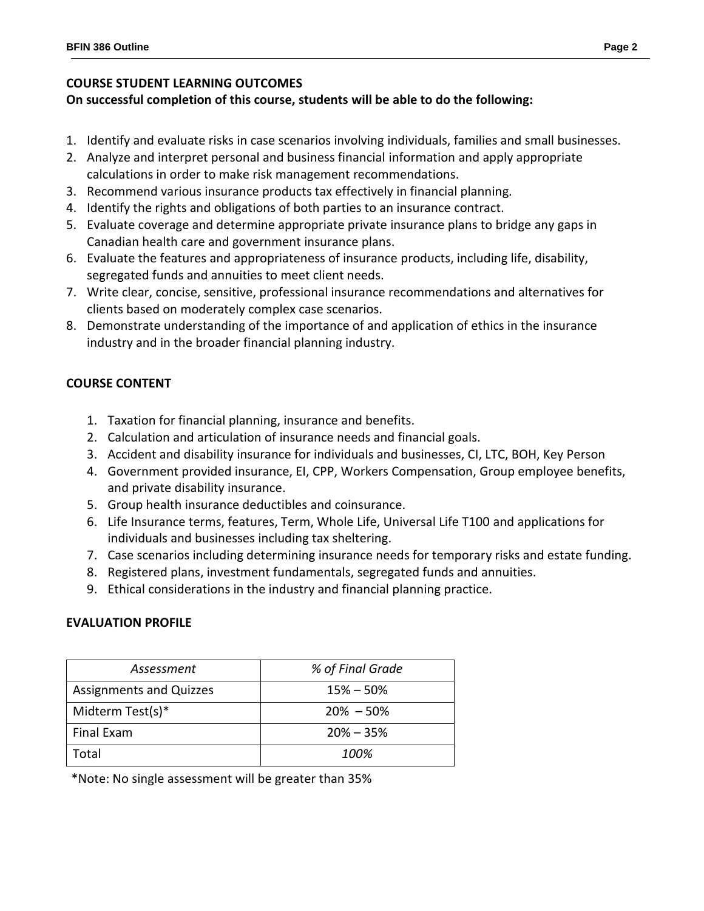# **COURSE STUDENT LEARNING OUTCOMES**

# **On successful completion of this course, students will be able to do the following:**

- 1. Identify and evaluate risks in case scenarios involving individuals, families and small businesses.
- 2. Analyze and interpret personal and business financial information and apply appropriate calculations in order to make risk management recommendations.
- 3. Recommend various insurance products tax effectively in financial planning.
- 4. Identify the rights and obligations of both parties to an insurance contract.
- 5. Evaluate coverage and determine appropriate private insurance plans to bridge any gaps in Canadian health care and government insurance plans.
- 6. Evaluate the features and appropriateness of insurance products, including life, disability, segregated funds and annuities to meet client needs.
- 7. Write clear, concise, sensitive, professional insurance recommendations and alternatives for clients based on moderately complex case scenarios.
- 8. Demonstrate understanding of the importance of and application of ethics in the insurance industry and in the broader financial planning industry.

# **COURSE CONTENT**

- 1. Taxation for financial planning, insurance and benefits.
- 2. Calculation and articulation of insurance needs and financial goals.
- 3. Accident and disability insurance for individuals and businesses, CI, LTC, BOH, Key Person
- 4. Government provided insurance, EI, CPP, Workers Compensation, Group employee benefits, and private disability insurance.
- 5. Group health insurance deductibles and coinsurance.
- 6. Life Insurance terms, features, Term, Whole Life, Universal Life T100 and applications for individuals and businesses including tax sheltering.
- 7. Case scenarios including determining insurance needs for temporary risks and estate funding.
- 8. Registered plans, investment fundamentals, segregated funds and annuities.
- 9. Ethical considerations in the industry and financial planning practice.

# **EVALUATION PROFILE**

| Assessment                     | % of Final Grade |  |
|--------------------------------|------------------|--|
| <b>Assignments and Quizzes</b> | $15\% - 50\%$    |  |
| Midterm Test(s)*               | $20\% - 50\%$    |  |
| Final Exam                     | $20\% - 35\%$    |  |
| Total                          | 100%             |  |

\*Note: No single assessment will be greater than 35%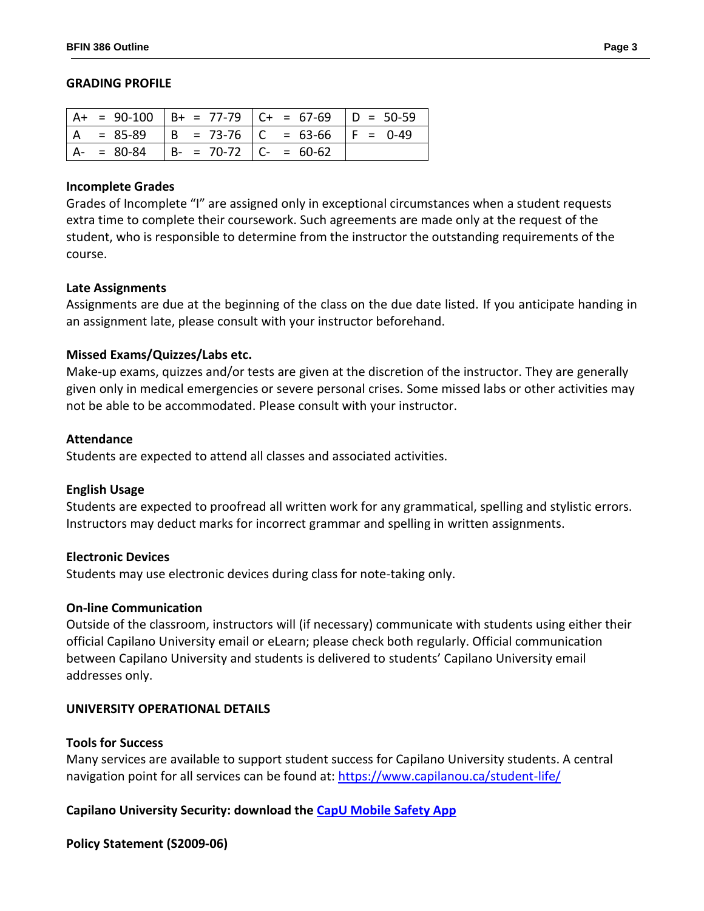#### **GRADING PROFILE**

|     |             |                             | $  A + = 90-100   B + = 77-79   C + = 67-69   D = 50-59$ |  |
|-----|-------------|-----------------------------|----------------------------------------------------------|--|
| l A |             |                             | = 85-89   B = 73-76   C = 63-66   F = 0-49               |  |
|     | $A - 80-84$ | $B - = 70-72$ $C - = 60-62$ |                                                          |  |

### **Incomplete Grades**

Grades of Incomplete "I" are assigned only in exceptional circumstances when a student requests extra time to complete their coursework. Such agreements are made only at the request of the student, who is responsible to determine from the instructor the outstanding requirements of the course.

## **Late Assignments**

Assignments are due at the beginning of the class on the due date listed. If you anticipate handing in an assignment late, please consult with your instructor beforehand.

## **Missed Exams/Quizzes/Labs etc.**

Make-up exams, quizzes and/or tests are given at the discretion of the instructor. They are generally given only in medical emergencies or severe personal crises. Some missed labs or other activities may not be able to be accommodated. Please consult with your instructor.

#### **Attendance**

Students are expected to attend all classes and associated activities.

## **English Usage**

Students are expected to proofread all written work for any grammatical, spelling and stylistic errors. Instructors may deduct marks for incorrect grammar and spelling in written assignments.

## **Electronic Devices**

Students may use electronic devices during class for note-taking only.

### **On-line Communication**

Outside of the classroom, instructors will (if necessary) communicate with students using either their official Capilano University email or eLearn; please check both regularly. Official communication between Capilano University and students is delivered to students' Capilano University email addresses only.

## **UNIVERSITY OPERATIONAL DETAILS**

#### **Tools for Success**

Many services are available to support student success for Capilano University students. A central navigation point for all services can be found at:<https://www.capilanou.ca/student-life/>

## **Capilano University Security: download the [CapU Mobile Safety App](https://www.capilanou.ca/student-life/support--wellness/safety--security/capu-safe-app/)**

## **Policy Statement (S2009-06)**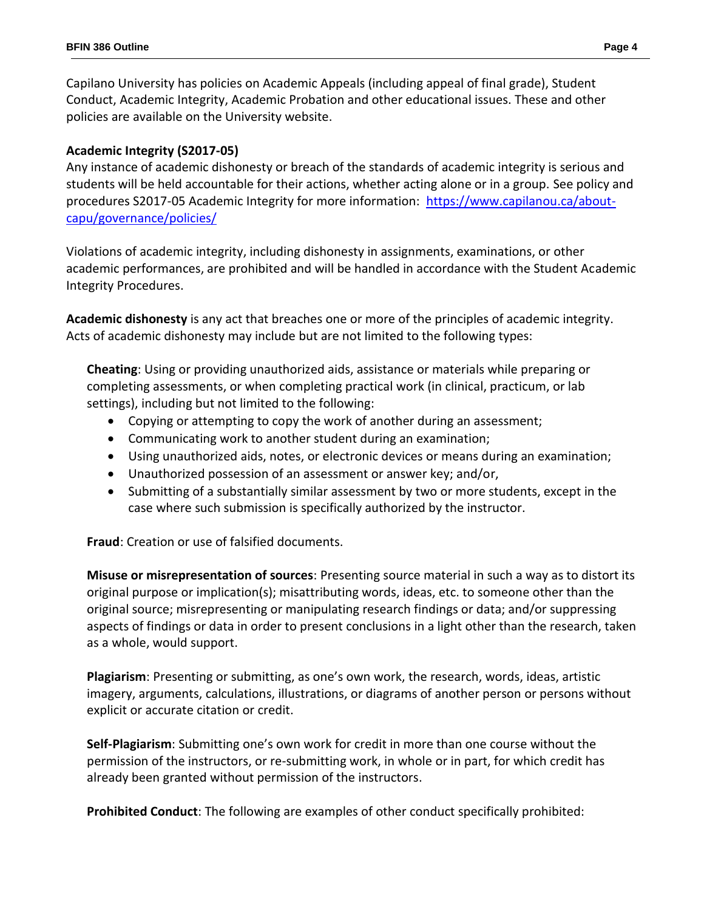Capilano University has policies on Academic Appeals (including appeal of final grade), Student Conduct, Academic Integrity, Academic Probation and other educational issues. These and other policies are available on the University website.

# **Academic Integrity (S2017-05)**

Any instance of academic dishonesty or breach of the standards of academic integrity is serious and students will be held accountable for their actions, whether acting alone or in a group. See policy and procedures S2017-05 Academic Integrity for more information: [https://www.capilanou.ca/about](https://www.capilanou.ca/about-capu/governance/policies/)[capu/governance/policies/](https://www.capilanou.ca/about-capu/governance/policies/)

Violations of academic integrity, including dishonesty in assignments, examinations, or other academic performances, are prohibited and will be handled in accordance with the Student Academic Integrity Procedures.

**Academic dishonesty** is any act that breaches one or more of the principles of academic integrity. Acts of academic dishonesty may include but are not limited to the following types:

**Cheating**: Using or providing unauthorized aids, assistance or materials while preparing or completing assessments, or when completing practical work (in clinical, practicum, or lab settings), including but not limited to the following:

- Copying or attempting to copy the work of another during an assessment;
- Communicating work to another student during an examination;
- Using unauthorized aids, notes, or electronic devices or means during an examination;
- Unauthorized possession of an assessment or answer key; and/or,
- Submitting of a substantially similar assessment by two or more students, except in the case where such submission is specifically authorized by the instructor.

**Fraud**: Creation or use of falsified documents.

**Misuse or misrepresentation of sources**: Presenting source material in such a way as to distort its original purpose or implication(s); misattributing words, ideas, etc. to someone other than the original source; misrepresenting or manipulating research findings or data; and/or suppressing aspects of findings or data in order to present conclusions in a light other than the research, taken as a whole, would support.

**Plagiarism**: Presenting or submitting, as one's own work, the research, words, ideas, artistic imagery, arguments, calculations, illustrations, or diagrams of another person or persons without explicit or accurate citation or credit.

**Self-Plagiarism**: Submitting one's own work for credit in more than one course without the permission of the instructors, or re-submitting work, in whole or in part, for which credit has already been granted without permission of the instructors.

**Prohibited Conduct**: The following are examples of other conduct specifically prohibited: